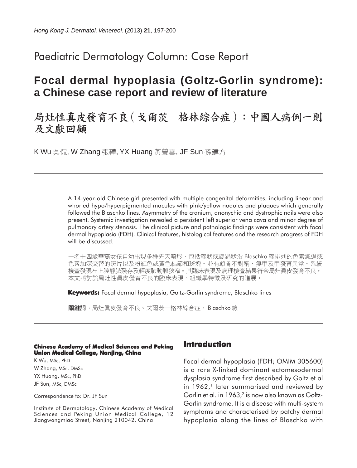# Paediatric Dermatology Column: Case Report

# **Focal dermal hypoplasia (Goltz-Gorlin syndrome): a Chinese case report and review of literature**

# 局灶性真皮發育不良 (戈爾茨–格林綜合症):中國人病例一則 及文獻回顧

K Wu 吳侃, W Zhang 張鞾, YX Huang 黃瑩雪, JF Sun 孫建方

A 14-year-old Chinese girl presented with multiple congenital deformities, including linear and whorled hypo/hyperpigmented macules with pink/yellow nodules and plaques which generally followed the Blaschko lines. Asymmetry of the cranium, anonychia and dystrophic nails were also present. Systemic investigation revealed a persistent left superior vena cava and minor degree of pulmonary artery stenosis. The clinical picture and pathologic findings were consistent with focal dermal hypoplasia (FDH). Clinical features, histological features and the research progress of FDH will be discussed.

一名十四歲華裔女孩自幼出現多種先天畸形,包括線狀或旋渦狀沿 Blaschko 線排列的色素減退或 色素加深交替的斑片以及粉紅色或黃色結節和斑塊。並有顱骨不對稱,無甲及甲發育異常。系統 檢查發現左上腔靜脈殘存及輕度肺動脈狹窄。其臨床表現及病理檢查結果符合局灶眞皮發育不良。 本文將討論局灶性眞皮發育不良的臨床表現、組織學特徵及研究的進展。

**Keywords:** Focal dermal hypoplasia, Goltz-Gorlin syndrome, Blaschko lines

關鍵詞:局灶眞皮發育不良、戈爾茨─格林綜合症、Blaschko 線

#### **Chinese Academy of Medical Sciences and Peking Union Medical College, Nanjing, China**

K Wu, MSc, PhD W Zhang, MSc, DMSc YX Huang, MSc, PhD JF Sun, MSc, DMSc

Correspondence to: Dr. JF Sun

Institute of Dermatology, Chinese Academy of Medical Sciences and Peking Union Medical College, 12 Jiangwangmiao Street, Nanjing 210042, China

### **Introduction**

Focal dermal hypoplasia (FDH; OMIM 305600) is a rare X-linked dominant ectomesodermal dysplasia syndrome first described by Goltz et al in 1962,<sup>1</sup> later summarised and reviewed by Gorlin et al. in 1963,<sup>2</sup> is now also known as Goltz-Gorlin syndrome. It is a disease with multi-system symptoms and characterised by patchy dermal hypoplasia along the lines of Blaschko with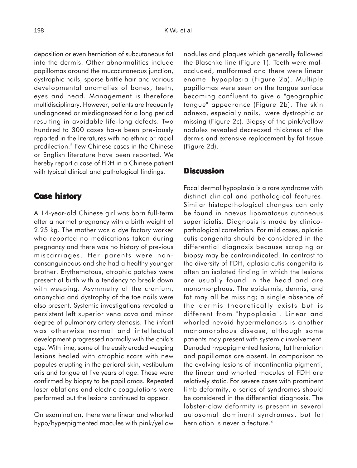deposition or even herniation of subcutaneous fat into the dermis. Other abnormalities include papillomas around the mucocutaneous junction, dystrophic nails, sparse brittle hair and various developmental anomalies of bones, teeth, eyes and head. Management is therefore multidisciplinary. However, patients are frequently undiagnosed or misdiagnosed for a long period resulting in avoidable life-long defects. Two hundred to 300 cases have been previously reported in the literatures with no ethnic or racial predilection.3 Few Chinese cases in the Chinese or English literature have been reported. We hereby report a case of FDH in a Chinese patient with typical clinical and pathological findings.

### **Case history**

A 14-year-old Chinese girl was born full-term after a normal pregnancy with a birth weight of 2.25 kg. The mother was a dye factory worker who reported no medications taken during pregnancy and there was no history of previous miscarriages. Her parents were nonconsanguineous and she had a healthy younger brother. Erythematous, atrophic patches were present at birth with a tendency to break down with weeping. Asymmetry of the cranium, anonychia and dystrophy of the toe nails were also present. Systemic investigations revealed a persistent left superior vena cava and minor degree of pulmonary artery stenosis. The infant was otherwise normal and intellectual development progressed normally with the child's age. With time, some of the easily eroded weeping lesions healed with atrophic scars with new papules erupting in the perioral skin, vestibulum oris and tongue at five years of age. These were confirmed by biopsy to be papillomas. Repeated laser ablations and electric coagulations were performed but the lesions continued to appear.

On examination, there were linear and whorled hypo/hyperpigmented macules with pink/yellow nodules and plaques which generally followed the Blaschko line (Figure 1). Teeth were maloccluded, malformed and there were linear enamel hypoplasia (Figure 2a). Multiple papillomas were seen on the tongue surface becoming confluent to give a "geographic tongue" appearance (Figure 2b). The skin adnexa, especially nails, were dystrophic or missing (Figure 2c). Biopsy of the pink/yellow nodules revealed decreased thickness of the dermis and extensive replacement by fat tissue (Figure 2d).

## **Discussion**

Focal dermal hypoplasia is a rare syndrome with distinct clinical and pathological features. Similar histopathological changes can only be found in naevus lipomatosus cutaneous superficialis. Diagnosis is made by clinicopathological correlation. For mild cases, aplasia cutis congenita should be considered in the differential diagnosis because scraping or biopsy may be contraindicated. In contrast to the diversity of FDH, aplasia cutis congenita is often an isolated finding in which the lesions are usually found in the head and are monomorphous. The epidermis, dermis, and fat may all be missing; a single absence of the dermis theoretically exists but is different from "hypoplasia". Linear and whorled nevoid hypermelanosis is another monomorphous disease, although some patients may present with systemic involvement. Denuded hypopigmented lesions, fat herniation and papillomas are absent. In comparison to the evolving lesions of incontinentia pigmenti, the linear and whorled macules of FDH are relatively static. For severe cases with prominent limb deformity, a series of syndromes should be considered in the differential diagnosis. The lobster-claw deformity is present in several autosomal dominant syndromes, but fat herniation is never a feature.<sup>4</sup>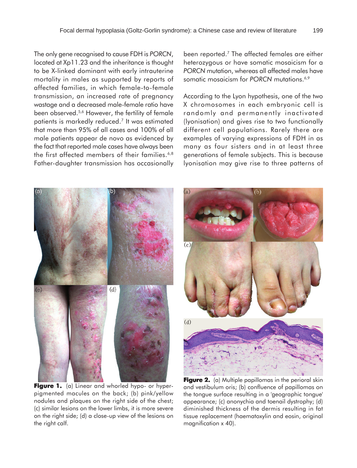The only gene recognised to cause FDH is *PORCN*, located at Xp11.23 and the inheritance is thought to be X-linked dominant with early intrauterine mortality in males as supported by reports of affected families, in which female-to-female transmission, an increased rate of pregnancy wastage and a decreased male-female ratio have been observed.<sup>5,6</sup> However, the fertility of female patients is markedly reduced.7 It was estimated that more than 95% of all cases and 100% of all male patients appear de novo as evidenced by the fact that reported male cases have always been the first affected members of their families.<sup>6,8</sup> Father-daughter transmission has occasionally been reported.<sup>7</sup> The affected females are either heterozygous or have somatic mosaicism for a *PORCN* mutation, whereas all affected males have somatic mosaicism for PORCN mutations.<sup>6,9</sup>

According to the Lyon hypothesis, one of the two X chromosomes in each embryonic cell is randomly and permanently inactivated (lyonisation) and gives rise to two functionally different cell populations. Rarely there are examples of varying expressions of FDH in as many as four sisters and in at least three generations of female subjects. This is because lyonisation may give rise to three patterns of



Figure 1. (a) Linear and whorled hypo- or hyperpigmented macules on the back; (b) pink/yellow nodules and plaques on the right side of the chest; (c) similar lesions on the lower limbs, it is more severe on the right side; (d) a close-up view of the lesions on the right calf.



**Figure 2.** (a) Multiple papillomas in the perioral skin and vestibulum oris; (b) confluence of papillomas on the tongue surface resulting in a 'geographic tongue' appearance; (c) anonychia and toenail dystrophy; (d) diminished thickness of the dermis resulting in fat tissue replacement (haematoxylin and eosin, original magnification x 40).